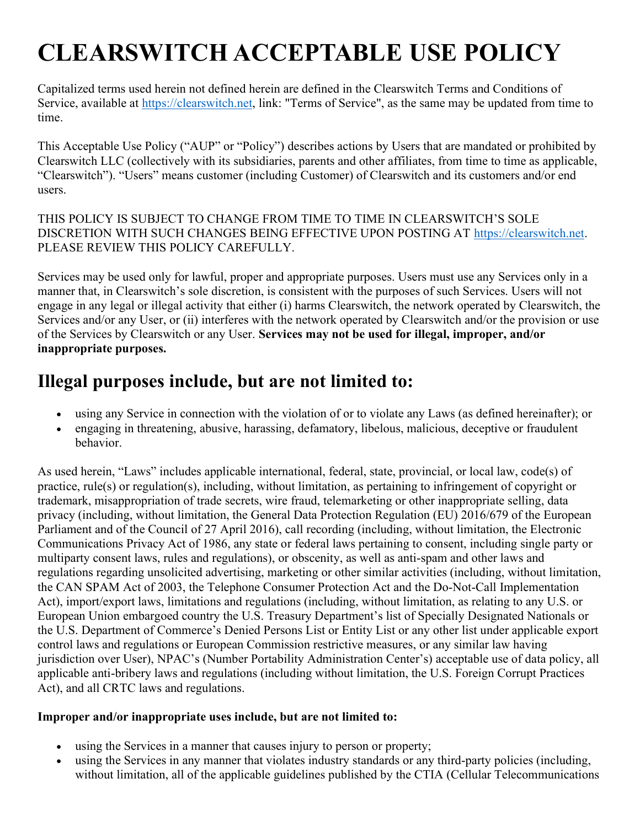## CLEARSWITCH ACCEPTABLE USE POLICY

Capitalized terms used herein not defined herein are defined in the Clearswitch Terms and Conditions of Service, available at https://clearswitch.net, link: "Terms of Service", as the same may be updated from time to time.

This Acceptable Use Policy ("AUP" or "Policy") describes actions by Users that are mandated or prohibited by Clearswitch LLC (collectively with its subsidiaries, parents and other affiliates, from time to time as applicable, "Clearswitch"). "Users" means customer (including Customer) of Clearswitch and its customers and/or end users.

## THIS POLICY IS SUBJECT TO CHANGE FROM TIME TO TIME IN CLEARSWITCH'S SOLE DISCRETION WITH SUCH CHANGES BEING EFFECTIVE UPON POSTING AT https://clearswitch.net. PLEASE REVIEW THIS POLICY CAREFULLY.

Services may be used only for lawful, proper and appropriate purposes. Users must use any Services only in a manner that, in Clearswitch's sole discretion, is consistent with the purposes of such Services. Users will not engage in any legal or illegal activity that either (i) harms Clearswitch, the network operated by Clearswitch, the Services and/or any User, or (ii) interferes with the network operated by Clearswitch and/or the provision or use of the Services by Clearswitch or any User. Services may not be used for illegal, improper, and/or inappropriate purposes.

## Illegal purposes include, but are not limited to:

- using any Service in connection with the violation of or to violate any Laws (as defined hereinafter); or
- engaging in threatening, abusive, harassing, defamatory, libelous, malicious, deceptive or fraudulent behavior.

As used herein, "Laws" includes applicable international, federal, state, provincial, or local law, code(s) of practice, rule(s) or regulation(s), including, without limitation, as pertaining to infringement of copyright or trademark, misappropriation of trade secrets, wire fraud, telemarketing or other inappropriate selling, data privacy (including, without limitation, the General Data Protection Regulation (EU) 2016/679 of the European Parliament and of the Council of 27 April 2016), call recording (including, without limitation, the Electronic Communications Privacy Act of 1986, any state or federal laws pertaining to consent, including single party or multiparty consent laws, rules and regulations), or obscenity, as well as anti-spam and other laws and regulations regarding unsolicited advertising, marketing or other similar activities (including, without limitation, the CAN SPAM Act of 2003, the Telephone Consumer Protection Act and the Do-Not-Call Implementation Act), import/export laws, limitations and regulations (including, without limitation, as relating to any U.S. or European Union embargoed country the U.S. Treasury Department's list of Specially Designated Nationals or the U.S. Department of Commerce's Denied Persons List or Entity List or any other list under applicable export control laws and regulations or European Commission restrictive measures, or any similar law having jurisdiction over User), NPAC's (Number Portability Administration Center's) acceptable use of data policy, all applicable anti-bribery laws and regulations (including without limitation, the U.S. Foreign Corrupt Practices Act), and all CRTC laws and regulations.

## Improper and/or inappropriate uses include, but are not limited to:

- using the Services in a manner that causes injury to person or property;
- using the Services in any manner that violates industry standards or any third-party policies (including, without limitation, all of the applicable guidelines published by the CTIA (Cellular Telecommunications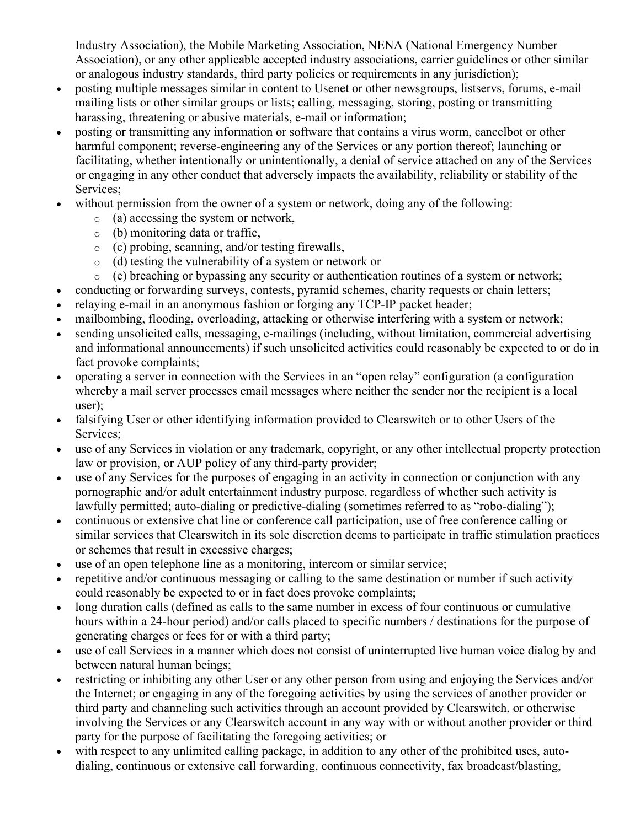Industry Association), the Mobile Marketing Association, NENA (National Emergency Number Association), or any other applicable accepted industry associations, carrier guidelines or other similar or analogous industry standards, third party policies or requirements in any jurisdiction);

- posting multiple messages similar in content to Usenet or other newsgroups, listservs, forums, e-mail mailing lists or other similar groups or lists; calling, messaging, storing, posting or transmitting harassing, threatening or abusive materials, e-mail or information;
- posting or transmitting any information or software that contains a virus worm, cancelbot or other harmful component; reverse-engineering any of the Services or any portion thereof; launching or facilitating, whether intentionally or unintentionally, a denial of service attached on any of the Services or engaging in any other conduct that adversely impacts the availability, reliability or stability of the Services;
- without permission from the owner of a system or network, doing any of the following:
	- o (a) accessing the system or network,
	- o (b) monitoring data or traffic,
	- o (c) probing, scanning, and/or testing firewalls,
	- o (d) testing the vulnerability of a system or network or
	- $\circ$  (e) breaching or bypassing any security or authentication routines of a system or network;
- conducting or forwarding surveys, contests, pyramid schemes, charity requests or chain letters;
- relaying e-mail in an anonymous fashion or forging any TCP-IP packet header;
- mailbombing, flooding, overloading, attacking or otherwise interfering with a system or network;
- sending unsolicited calls, messaging, e-mailings (including, without limitation, commercial advertising and informational announcements) if such unsolicited activities could reasonably be expected to or do in fact provoke complaints;
- operating a server in connection with the Services in an "open relay" configuration (a configuration whereby a mail server processes email messages where neither the sender nor the recipient is a local user);
- falsifying User or other identifying information provided to Clearswitch or to other Users of the Services;
- use of any Services in violation or any trademark, copyright, or any other intellectual property protection law or provision, or AUP policy of any third-party provider;
- use of any Services for the purposes of engaging in an activity in connection or conjunction with any pornographic and/or adult entertainment industry purpose, regardless of whether such activity is lawfully permitted; auto-dialing or predictive-dialing (sometimes referred to as "robo-dialing");
- continuous or extensive chat line or conference call participation, use of free conference calling or similar services that Clearswitch in its sole discretion deems to participate in traffic stimulation practices or schemes that result in excessive charges;
- use of an open telephone line as a monitoring, intercom or similar service;
- repetitive and/or continuous messaging or calling to the same destination or number if such activity could reasonably be expected to or in fact does provoke complaints;
- long duration calls (defined as calls to the same number in excess of four continuous or cumulative hours within a 24-hour period) and/or calls placed to specific numbers / destinations for the purpose of generating charges or fees for or with a third party;
- use of call Services in a manner which does not consist of uninterrupted live human voice dialog by and between natural human beings;
- restricting or inhibiting any other User or any other person from using and enjoying the Services and/or the Internet; or engaging in any of the foregoing activities by using the services of another provider or third party and channeling such activities through an account provided by Clearswitch, or otherwise involving the Services or any Clearswitch account in any way with or without another provider or third party for the purpose of facilitating the foregoing activities; or
- with respect to any unlimited calling package, in addition to any other of the prohibited uses, autodialing, continuous or extensive call forwarding, continuous connectivity, fax broadcast/blasting,